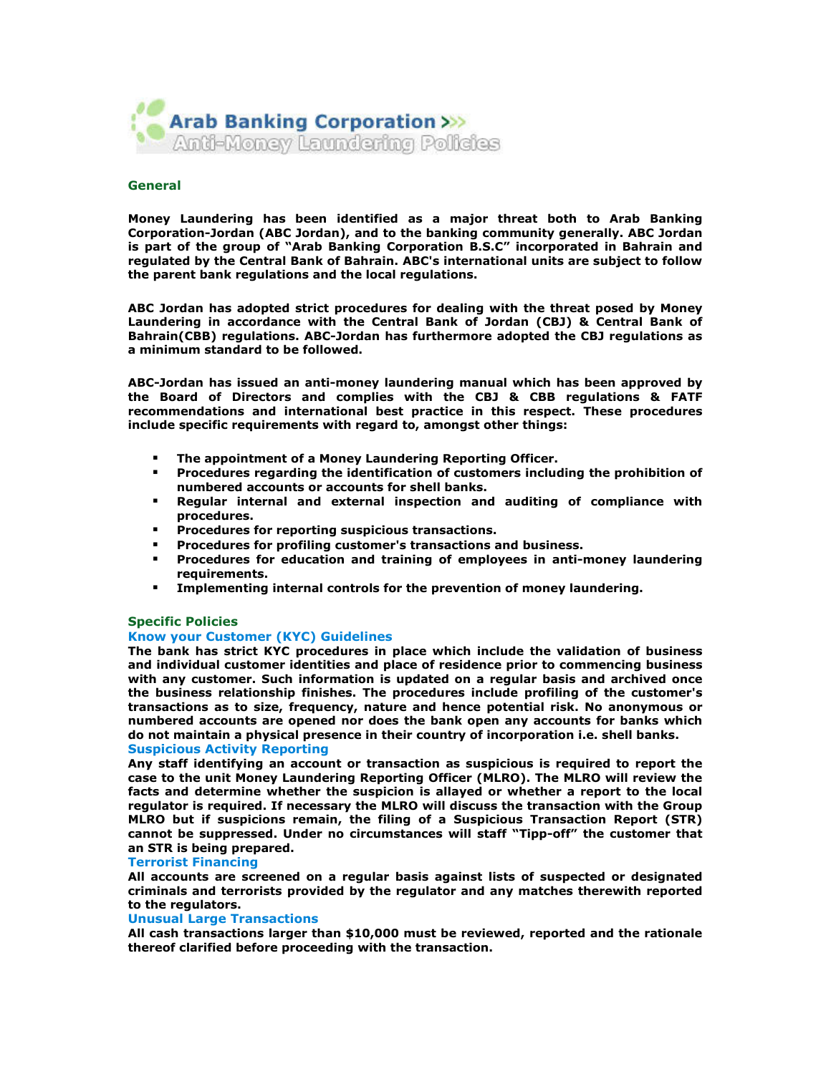

## General

Money Laundering has been identified as a major threat both to Arab Banking Corporation-Jordan (ABC Jordan), and to the banking community generally. ABC Jordan is part of the group of "Arab Banking Corporation B.S.C" incorporated in Bahrain and regulated by the Central Bank of Bahrain. ABC's international units are subject to follow the parent bank regulations and the local regulations.

ABC Jordan has adopted strict procedures for dealing with the threat posed by Money Laundering in accordance with the Central Bank of Jordan (CBJ) & Central Bank of Bahrain(CBB) regulations. ABC-Jordan has furthermore adopted the CBJ regulations as a minimum standard to be followed.

ABC-Jordan has issued an anti-money laundering manual which has been approved by the Board of Directors and complies with the CBJ & CBB regulations & FATF recommendations and international best practice in this respect. These procedures include specific requirements with regard to, amongst other things:

- The appointment of a Money Laundering Reporting Officer.
- Procedures regarding the identification of customers including the prohibition of numbered accounts or accounts for shell banks.
- Regular internal and external inspection and auditing of compliance with procedures.
- Procedures for reporting suspicious transactions.
- Procedures for profiling customer's transactions and business.
- Procedures for education and training of employees in anti-money laundering requirements.
- Implementing internal controls for the prevention of money laundering.

#### Specific Policies

### Know your Customer (KYC) Guidelines

The bank has strict KYC procedures in place which include the validation of business and individual customer identities and place of residence prior to commencing business with any customer. Such information is updated on a regular basis and archived once the business relationship finishes. The procedures include profiling of the customer's transactions as to size, frequency, nature and hence potential risk. No anonymous or numbered accounts are opened nor does the bank open any accounts for banks which do not maintain a physical presence in their country of incorporation i.e. shell banks. Suspicious Activity Reporting

Any staff identifying an account or transaction as suspicious is required to report the case to the unit Money Laundering Reporting Officer (MLRO). The MLRO will review the facts and determine whether the suspicion is allayed or whether a report to the local regulator is required. If necessary the MLRO will discuss the transaction with the Group MLRO but if suspicions remain, the filing of a Suspicious Transaction Report (STR) cannot be suppressed. Under no circumstances will staff "Tipp-off" the customer that an STR is being prepared.

#### Terrorist Financing

All accounts are screened on a regular basis against lists of suspected or designated criminals and terrorists provided by the regulator and any matches therewith reported to the regulators.

## Unusual Large Transactions

All cash transactions larger than \$10,000 must be reviewed, reported and the rationale thereof clarified before proceeding with the transaction.